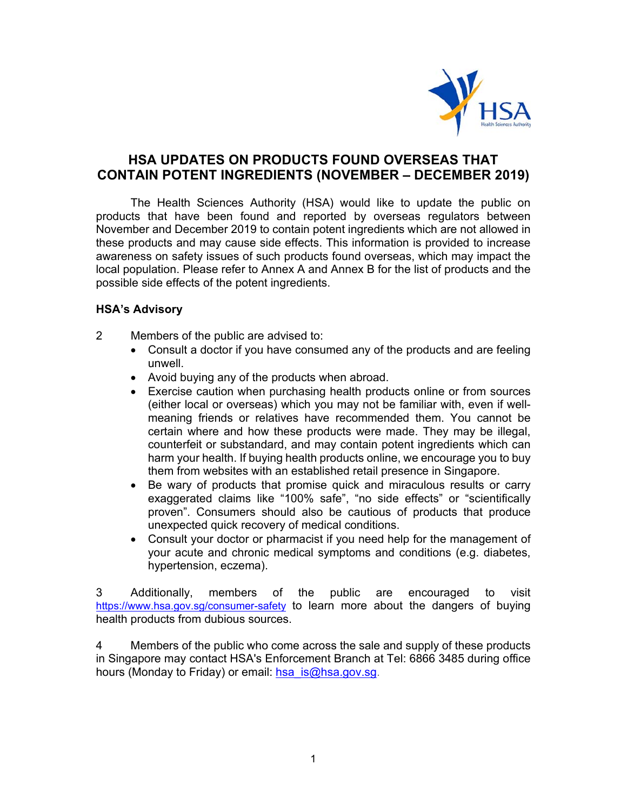

# **HSA UPDATES ON PRODUCTS FOUND OVERSEAS THAT CONTAIN POTENT INGREDIENTS (NOVEMBER – DECEMBER 2019)**

The Health Sciences Authority (HSA) would like to update the public on products that have been found and reported by overseas regulators between November and December 2019 to contain potent ingredients which are not allowed in these products and may cause side effects. This information is provided to increase awareness on safety issues of such products found overseas, which may impact the local population. Please refer to Annex A and Annex B for the list of products and the possible side effects of the potent ingredients.

# **HSA's Advisory**

- 2 Members of the public are advised to:
	- Consult a doctor if you have consumed any of the products and are feeling unwell.
	- Avoid buying any of the products when abroad.
	- Exercise caution when purchasing health products online or from sources (either local or overseas) which you may not be familiar with, even if wellmeaning friends or relatives have recommended them. You cannot be certain where and how these products were made. They may be illegal, counterfeit or substandard, and may contain potent ingredients which can harm your health. If buying health products online, we encourage you to buy them from websites with an established retail presence in Singapore.
	- Be wary of products that promise quick and miraculous results or carry exaggerated claims like "100% safe", "no side effects" or "scientifically proven". Consumers should also be cautious of products that produce unexpected quick recovery of medical conditions.
	- Consult your doctor or pharmacist if you need help for the management of your acute and chronic medical symptoms and conditions (e.g. diabetes, hypertension, eczema).

3 Additionally, members of the public are encouraged to visit https://www.hsa.gov.sg/consumer-safety to learn more about the dangers of buying health products from dubious sources.

4 Members of the public who come across the sale and supply of these products in Singapore may contact HSA's Enforcement Branch at Tel: 6866 3485 during office hours (Monday to Friday) or email: hsa is@hsa.gov.sg.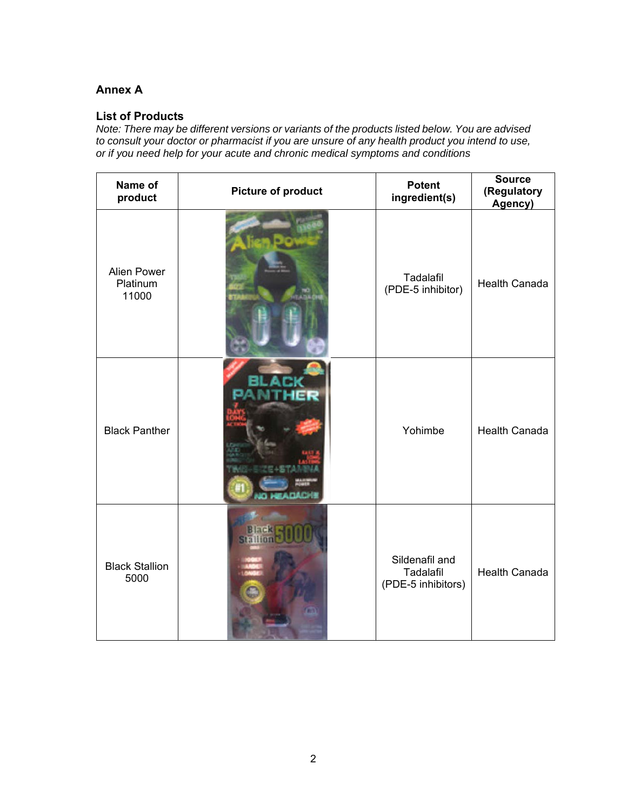# **Annex A**

# **List of Products**

*Note: There may be different versions or variants of the products listed below. You are advised to consult your doctor or pharmacist if you are unsure of any health product you intend to use, or if you need help for your acute and chronic medical symptoms and conditions* 

| Name of<br>product               | <b>Picture of product</b> | <b>Potent</b><br>ingredient(s)                    | <b>Source</b><br>(Regulatory<br>Agency) |
|----------------------------------|---------------------------|---------------------------------------------------|-----------------------------------------|
| Alien Power<br>Platinum<br>11000 |                           | Tadalafil<br>(PDE-5 inhibitor)                    | <b>Health Canada</b>                    |
| <b>Black Panther</b>             |                           | Yohimbe                                           | <b>Health Canada</b>                    |
| <b>Black Stallion</b><br>5000    |                           | Sildenafil and<br>Tadalafil<br>(PDE-5 inhibitors) | <b>Health Canada</b>                    |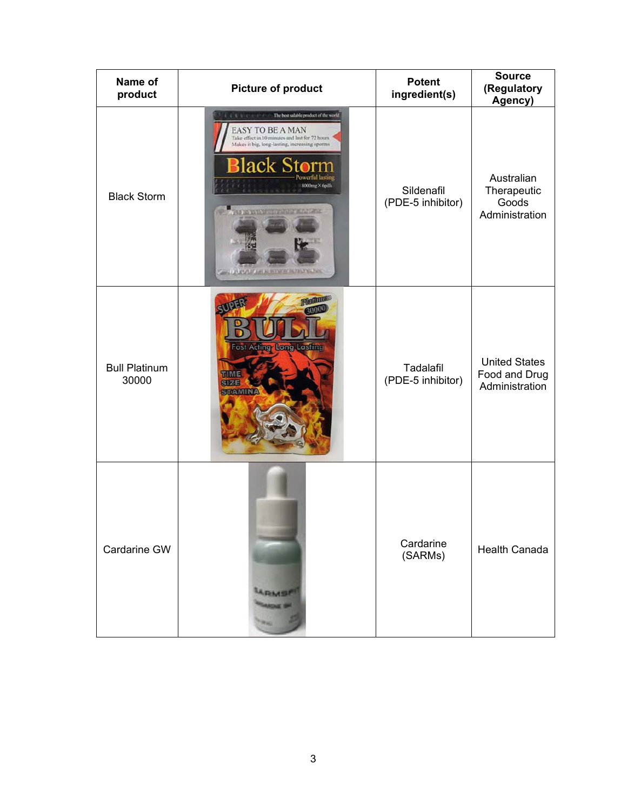| Name of<br>product            | <b>Picture of product</b>                                                                                                                                                                                                                                                  | <b>Potent</b><br>ingredient(s)  | <b>Source</b><br>(Regulatory<br>Agency)                 |
|-------------------------------|----------------------------------------------------------------------------------------------------------------------------------------------------------------------------------------------------------------------------------------------------------------------------|---------------------------------|---------------------------------------------------------|
| <b>Black Storm</b>            | The best salable product of the world<br>$-17.3$<br><b>EASY TO BE A MAN</b><br>Take effect in 10 minutes and last for 72 hours.<br>Makes it big, long-lasting, increasing sperms<br>Black S<br>werful lastin<br>8000mg × 6pills<br><b>KATAPAKEE AL BITTAP AL AND BILTI</b> | Sildenafil<br>(PDE-5 inhibitor) | Australian<br>Therapeutic<br>Goods<br>Administration    |
| <b>Bull Platinum</b><br>30000 | <b>Platton</b><br><b>MDER</b><br><b>Fast Acting Long Lasting</b><br>TIME<br><b>SIZE</b><br><b>STAMIN</b>                                                                                                                                                                   | Tadalafil<br>(PDE-5 inhibitor)  | <b>United States</b><br>Food and Drug<br>Administration |
| Cardarine GW                  | <b>A DINASE</b>                                                                                                                                                                                                                                                            | Cardarine<br>(SARMs)            | <b>Health Canada</b>                                    |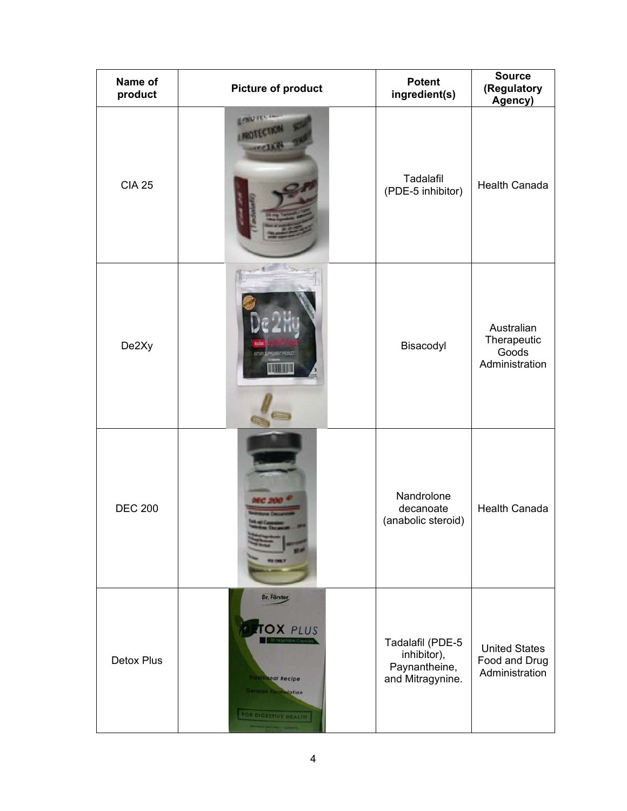| Name of<br>product | <b>Picture of product</b>                                                                                                                                 | <b>Potent</b><br>ingredient(s)                                       | <b>Source</b><br>(Regulatory<br>Agency)                 |
|--------------------|-----------------------------------------------------------------------------------------------------------------------------------------------------------|----------------------------------------------------------------------|---------------------------------------------------------|
| <b>CIA 25</b>      |                                                                                                                                                           | Tadalafil<br>(PDE-5 inhibitor)                                       | Health Canada                                           |
| De2Xy              | <b>PREMENT PRODUCT</b>                                                                                                                                    | Bisacodyl                                                            | Australian<br>Therapeutic<br>Goods<br>Administration    |
| <b>DEC 200</b>     |                                                                                                                                                           | Nandrolone<br>decanoate<br>(anabolic steroid)                        | <b>Health Canada</b>                                    |
| <b>Detox Plus</b>  | Dr. Förster<br><b>TOX PLUS</b><br><b>Traditional Recipe</b><br><b>Cerman Formulation</b><br>FOR DIGESTIVE HEALTH<br><b>RATIONAL INTELLIGENCE FIDELERS</b> | Tadalafil (PDE-5<br>inhibitor),<br>Paynantheine,<br>and Mitragynine. | <b>United States</b><br>Food and Drug<br>Administration |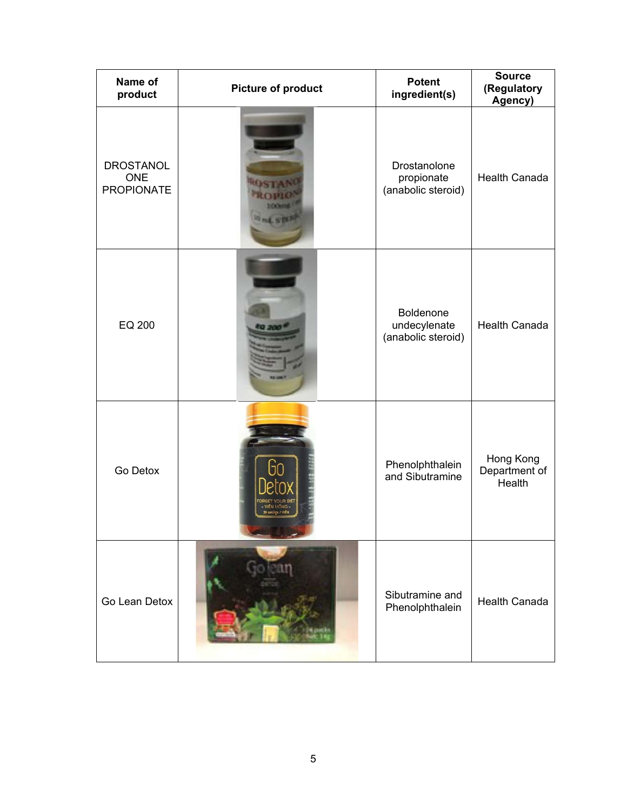| Name of<br>product                                  | <b>Picture of product</b> | <b>Potent</b><br>ingredient(s)                   | <b>Source</b><br>(Regulatory<br>Agency) |
|-----------------------------------------------------|---------------------------|--------------------------------------------------|-----------------------------------------|
| <b>DROSTANOL</b><br><b>ONE</b><br><b>PROPIONATE</b> |                           | Drostanolone<br>propionate<br>(anabolic steroid) | <b>Health Canada</b>                    |
| EQ 200                                              |                           | Boldenone<br>undecylenate<br>(anabolic steroid)  | <b>Health Canada</b>                    |
| Go Detox                                            | 28 unifor / VIEN          | Phenolphthalein<br>and Sibutramine               | Hong Kong<br>Department of<br>Health    |
| Go Lean Detox                                       |                           | Sibutramine and<br>Phenolphthalein               | <b>Health Canada</b>                    |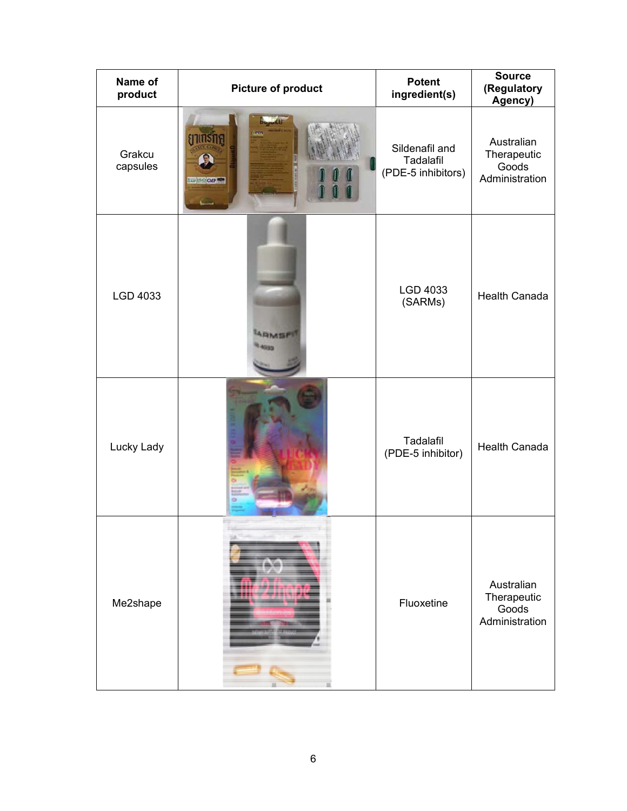| Name of<br>product | Picture of product                | <b>Potent</b><br>ingredient(s)                    | <b>Source</b><br>(Regulatory<br>Agency)              |
|--------------------|-----------------------------------|---------------------------------------------------|------------------------------------------------------|
| Grakcu<br>capsules | $\eta$ nnsna<br>Sup 150 GMP<br>ست | Sildenafil and<br>Tadalafil<br>(PDE-5 inhibitors) | Australian<br>Therapeutic<br>Goods<br>Administration |
| LGD 4033           |                                   | LGD 4033<br>(SARMs)                               | <b>Health Canada</b>                                 |
| Lucky Lady         |                                   | Tadalafil<br>(PDE-5 inhibitor)                    | Health Canada                                        |
| Me2shape           |                                   | Fluoxetine                                        | Australian<br>Therapeutic<br>Goods<br>Administration |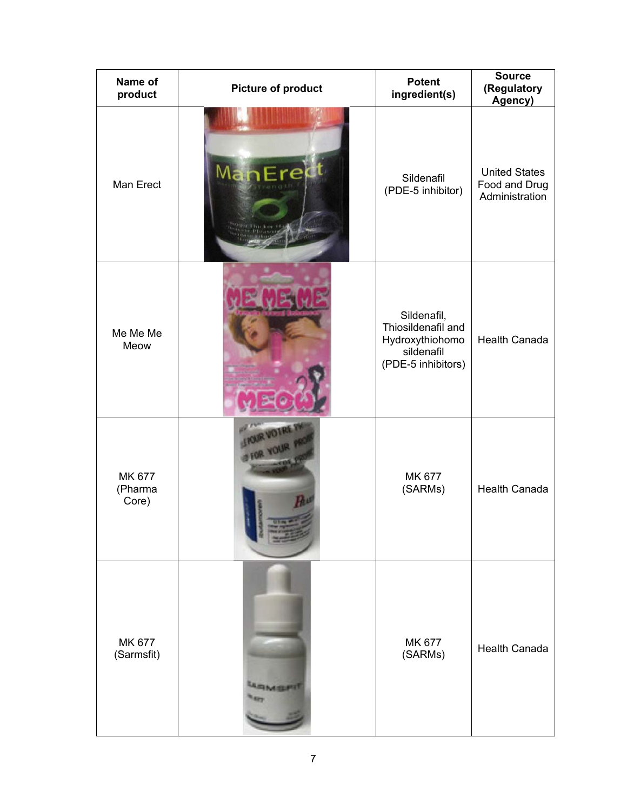| Name of<br>product         | <b>Picture of product</b> | <b>Potent</b><br>ingredient(s)                                                           | <b>Source</b><br>(Regulatory<br>Agency)                 |
|----------------------------|---------------------------|------------------------------------------------------------------------------------------|---------------------------------------------------------|
| Man Erect                  | ManEre                    | Sildenafil<br>(PDE-5 inhibitor)                                                          | <b>United States</b><br>Food and Drug<br>Administration |
| Me Me Me<br>Meow           |                           | Sildenafil,<br>Thiosildenafil and<br>Hydroxythiohomo<br>sildenafil<br>(PDE-5 inhibitors) | <b>Health Canada</b>                                    |
| MK 677<br>(Pharma<br>Core) |                           | MK 677<br>(SARMs)                                                                        | <b>Health Canada</b>                                    |
| MK 677<br>(Sarmsfit)       | <b>RMILIPS</b>            | MK 677<br>(SARMs)                                                                        | <b>Health Canada</b>                                    |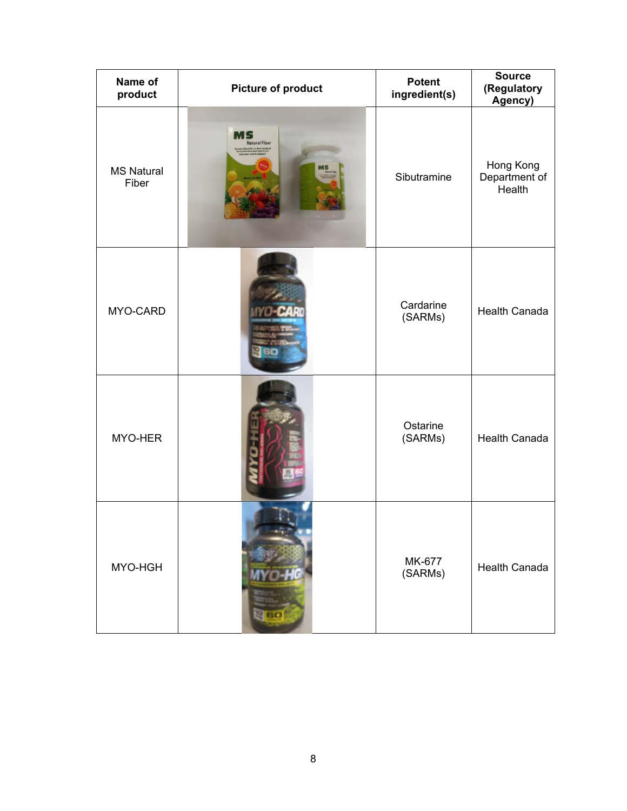| Name of<br>product         | Picture of product         | <b>Potent</b><br>ingredient(s) | <b>Source</b><br>(Regulatory<br>Agency) |
|----------------------------|----------------------------|--------------------------------|-----------------------------------------|
| <b>MS Natural</b><br>Fiber | MS<br><b>Natural Fiber</b> | Sibutramine                    | Hong Kong<br>Department of<br>Health    |
| MYO-CARD                   |                            | Cardarine<br>(SARMs)           | <b>Health Canada</b>                    |
| MYO-HER                    |                            | Ostarine<br>(SARMs)            | <b>Health Canada</b>                    |
| MYO-HGH                    | 60                         | MK-677<br>(SARMs)              | <b>Health Canada</b>                    |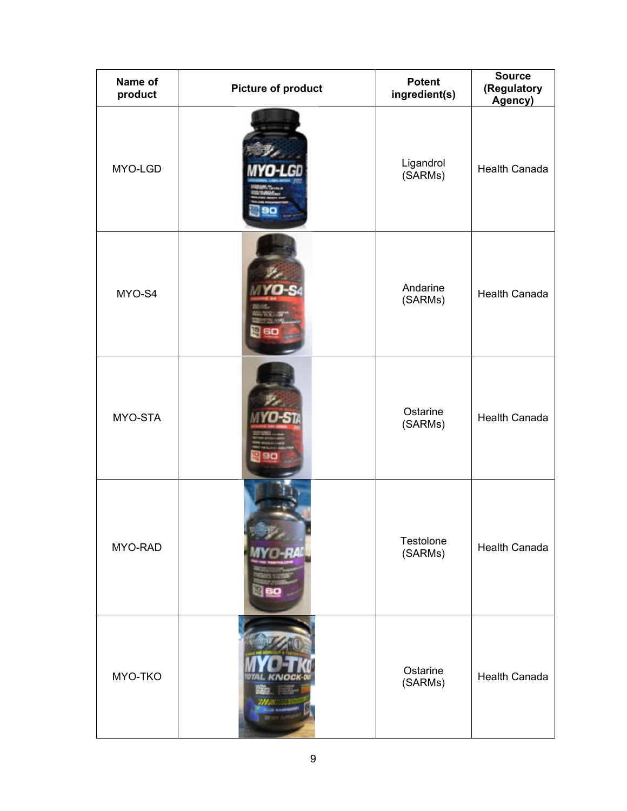| Name of<br>product | <b>Picture of product</b> | <b>Potent</b><br>ingredient(s) | <b>Source</b><br>(Regulatory<br>Agency) |
|--------------------|---------------------------|--------------------------------|-----------------------------------------|
| MYO-LGD            |                           | Ligandrol<br>(SARMs)           | <b>Health Canada</b>                    |
| MYO-S4             |                           | Andarine<br>(SARMs)            | <b>Health Canada</b>                    |
| MYO-STA            |                           | Ostarine<br>(SARMs)            | <b>Health Canada</b>                    |
| MYO-RAD            |                           | Testolone<br>(SARMs)           | Health Canada                           |
| MYO-TKO            |                           | Ostarine<br>(SARMs)            | <b>Health Canada</b>                    |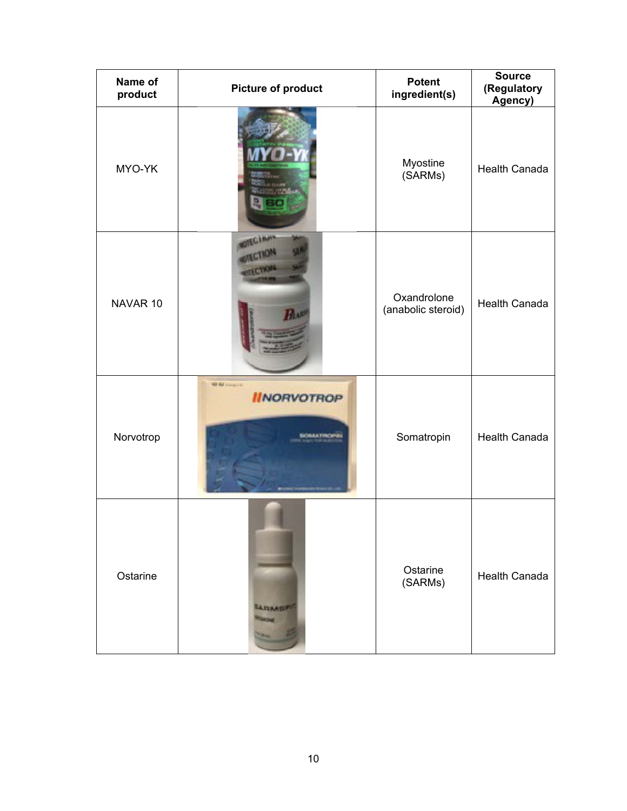| Name of<br>product | <b>Picture of product</b>                                   | <b>Potent</b><br>ingredient(s)    | <b>Source</b><br>(Regulatory<br>Agency) |
|--------------------|-------------------------------------------------------------|-----------------------------------|-----------------------------------------|
| MYO-YK             |                                                             | Myostine<br>(SARMs)               | <b>Health Canada</b>                    |
| NAVAR 10           | OTECIM                                                      | Oxandrolone<br>(anabolic steroid) | <b>Health Canada</b>                    |
| Norvotrop          | <b>NO BE ANNUSED</b><br><b>IINORVOTROP</b><br><b>MAATIN</b> | Somatropin                        | <b>Health Canada</b>                    |
| Ostarine           | <b>AFIMER</b>                                               | Ostarine<br>(SARMs)               | <b>Health Canada</b>                    |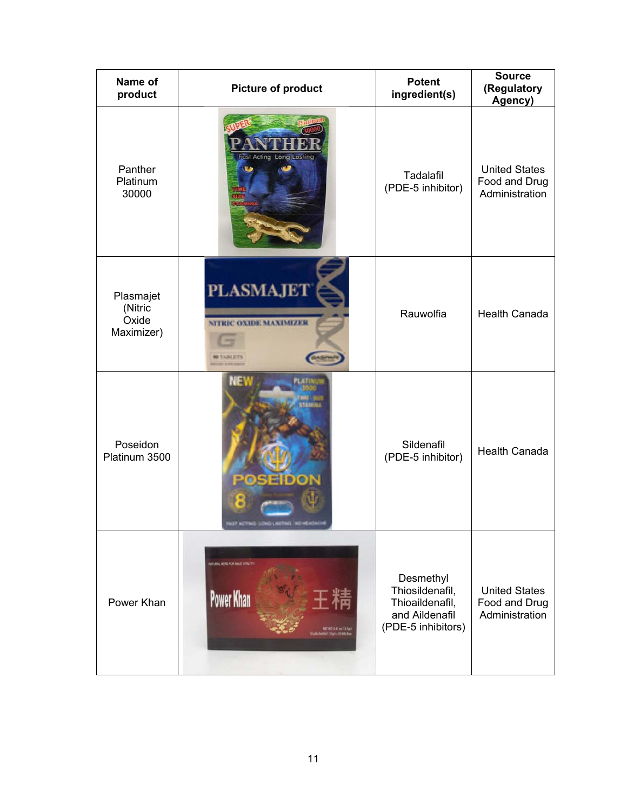| Name of<br>product                          | Picture of product                                                                                      | <b>Potent</b><br>ingredient(s)                                                          | <b>Source</b><br>(Regulatory<br>Agency)                 |
|---------------------------------------------|---------------------------------------------------------------------------------------------------------|-----------------------------------------------------------------------------------------|---------------------------------------------------------|
| Panther<br>Platinum<br>30000                | <b>Fast Acting Long Lasting</b>                                                                         | Tadalafil<br>(PDE-5 inhibitor)                                                          | <b>United States</b><br>Food and Drug<br>Administration |
| Plasmajet<br>(Nitric<br>Oxide<br>Maximizer) | <b>PLASMAJET</b><br>NITRIC OXIDE MAXIMIZER                                                              | Rauwolfia                                                                               | <b>Health Canada</b>                                    |
| Poseidon<br>Platinum 3500                   | SEIDON                                                                                                  | Sildenafil<br>(PDE-5 inhibitor)                                                         | <b>Health Canada</b>                                    |
| Power Khan                                  | MITURAL HERB FOR MALE VITALITY<br><b>Power Khan</b><br>NETWI-BAZ ne (13.5g)<br>mini 1.15gi i 10 listuhu | Desmethyl<br>Thiosildenafil,<br>Thioaildenafil,<br>and Aildenafil<br>(PDE-5 inhibitors) | <b>United States</b><br>Food and Drug<br>Administration |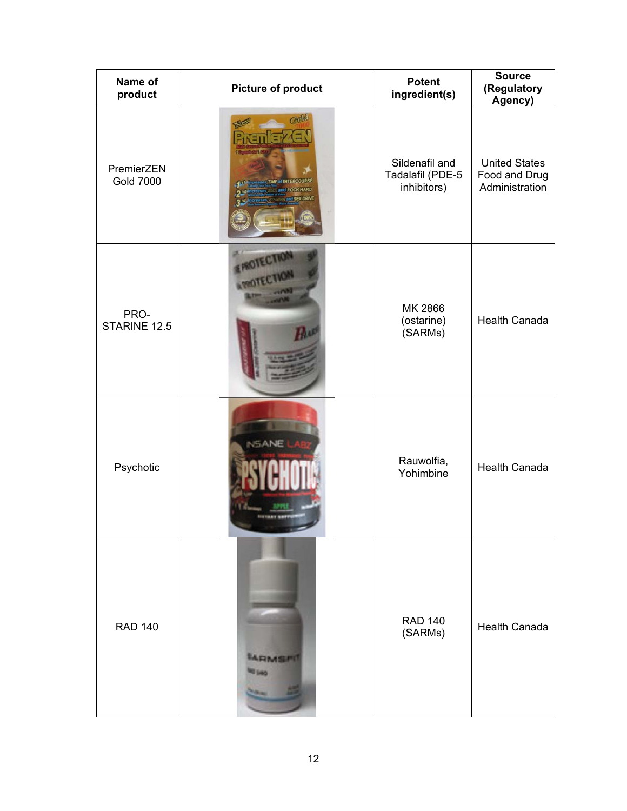| Name of<br>product             | <b>Picture of product</b>          | <b>Potent</b><br>ingredient(s)                    | <b>Source</b><br>(Regulatory<br>Agency)                 |
|--------------------------------|------------------------------------|---------------------------------------------------|---------------------------------------------------------|
| PremierZEN<br><b>Gold 7000</b> | Gold<br><b>STIME of INTERCOURS</b> | Sildenafil and<br>Tadalafil (PDE-5<br>inhibitors) | <b>United States</b><br>Food and Drug<br>Administration |
| PRO-<br>STARINE 12.5           | <b>CIR</b>                         | MK 2866<br>(ostarine)<br>(SARMs)                  | <b>Health Canada</b>                                    |
| Psychotic                      | <b>NSANE</b>                       | Rauwolfia,<br>Yohimbine                           | <b>Health Canada</b>                                    |
| <b>RAD 140</b>                 | ARMSPE                             | <b>RAD 140</b><br>(SARMs)                         | <b>Health Canada</b>                                    |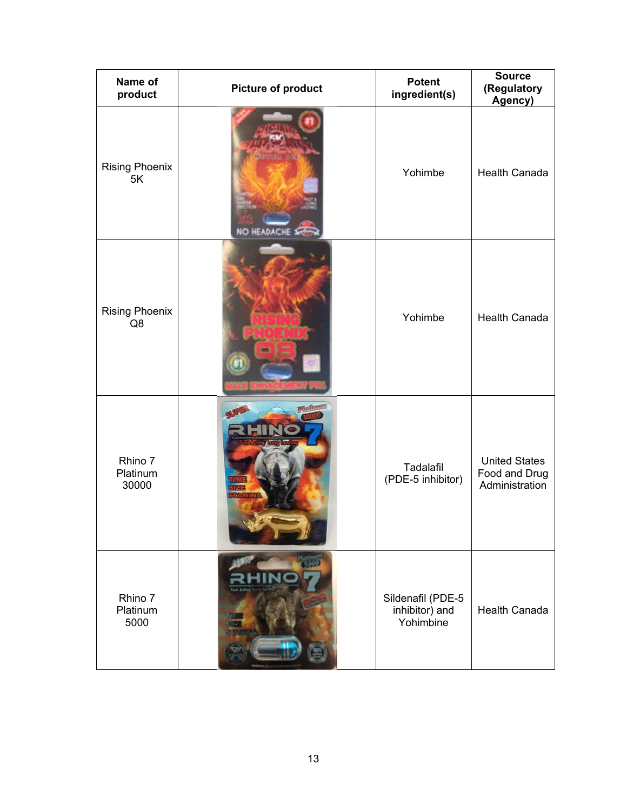| Name of<br>product           | <b>Picture of product</b> | <b>Potent</b><br>ingredient(s)                   | <b>Source</b><br>(Regulatory<br>Agency)                 |
|------------------------------|---------------------------|--------------------------------------------------|---------------------------------------------------------|
| <b>Rising Phoenix</b><br>5K  | <b>NO HEADACHE</b>        | Yohimbe                                          | <b>Health Canada</b>                                    |
| <b>Rising Phoenix</b><br>Q8  |                           | Yohimbe                                          | <b>Health Canada</b>                                    |
| Rhino 7<br>Platinum<br>30000 |                           | Tadalafil<br>(PDE-5 inhibitor)                   | <b>United States</b><br>Food and Drug<br>Administration |
| Rhino 7<br>Platinum<br>5000  |                           | Sildenafil (PDE-5<br>inhibitor) and<br>Yohimbine | <b>Health Canada</b>                                    |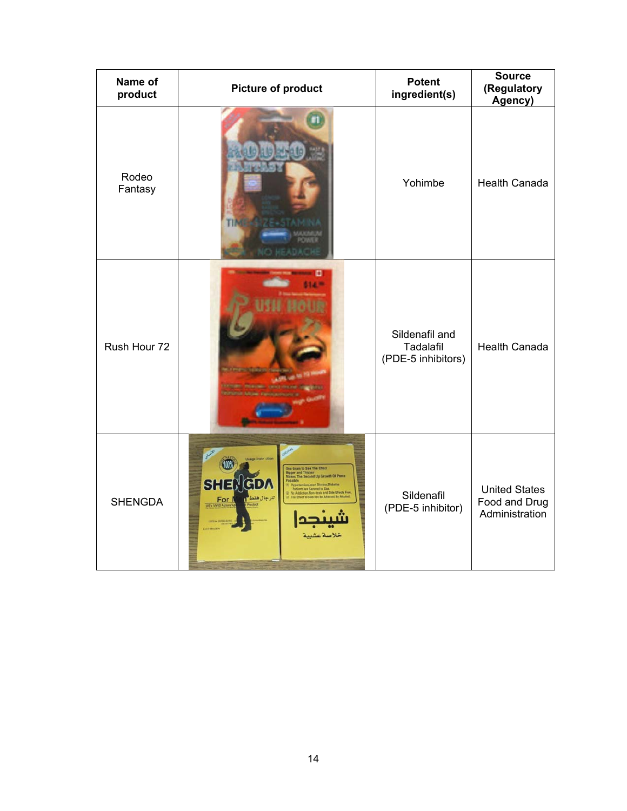| Name of<br>product | <b>Picture of product</b>                                                                                              | <b>Potent</b><br>ingredient(s)                    | <b>Source</b><br>(Regulatory<br>Agency)                 |
|--------------------|------------------------------------------------------------------------------------------------------------------------|---------------------------------------------------|---------------------------------------------------------|
| Rodeo<br>Fantasy   |                                                                                                                        | Yohimbe                                           | <b>Health Canada</b>                                    |
| Rush Hour 72       |                                                                                                                        | Sildenafil and<br>Tadalafil<br>(PDE-5 inhibitors) | <b>Health Canada</b>                                    |
| <b>SHENGDA</b>     | One Grain to See The Effect<br>d Thicks<br>of the Growth Of Par<br><b>SHEN</b><br>GDW<br>للرجال فقا<br>For<br>خلاصة عش | Sildenafil<br>(PDE-5 inhibitor)                   | <b>United States</b><br>Food and Drug<br>Administration |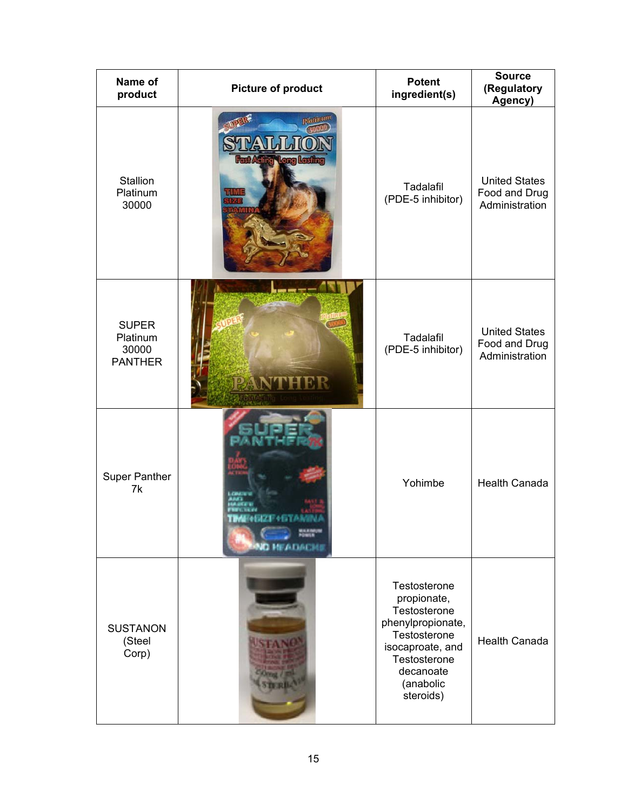| Name of<br>product                                  | <b>Picture of product</b>                                       | <b>Potent</b><br>ingredient(s)                                                                                                                              | <b>Source</b><br>(Regulatory<br>Agency)                 |
|-----------------------------------------------------|-----------------------------------------------------------------|-------------------------------------------------------------------------------------------------------------------------------------------------------------|---------------------------------------------------------|
| Stallion<br>Platinum<br>30000                       | <b>Rlatinum</b><br><b>Acting Long Lasting</b><br><b>LILIVII</b> | Tadalafil<br>(PDE-5 inhibitor)                                                                                                                              | <b>United States</b><br>Food and Drug<br>Administration |
| <b>SUPER</b><br>Platinum<br>30000<br><b>PANTHER</b> | PANTHER                                                         | Tadalafil<br>(PDE-5 inhibitor)                                                                                                                              | <b>United States</b><br>Food and Drug<br>Administration |
| <b>Super Panther</b><br>7k                          | <b>IZE 41.TA</b><br>NO MEADAL                                   | Yohimbe                                                                                                                                                     | <b>Health Canada</b>                                    |
| <b>SUSTANON</b><br>(Steel<br>Corp)                  |                                                                 | Testosterone<br>propionate,<br>Testosterone<br>phenylpropionate,<br>Testosterone<br>isocaproate, and<br>Testosterone<br>decanoate<br>(anabolic<br>steroids) | <b>Health Canada</b>                                    |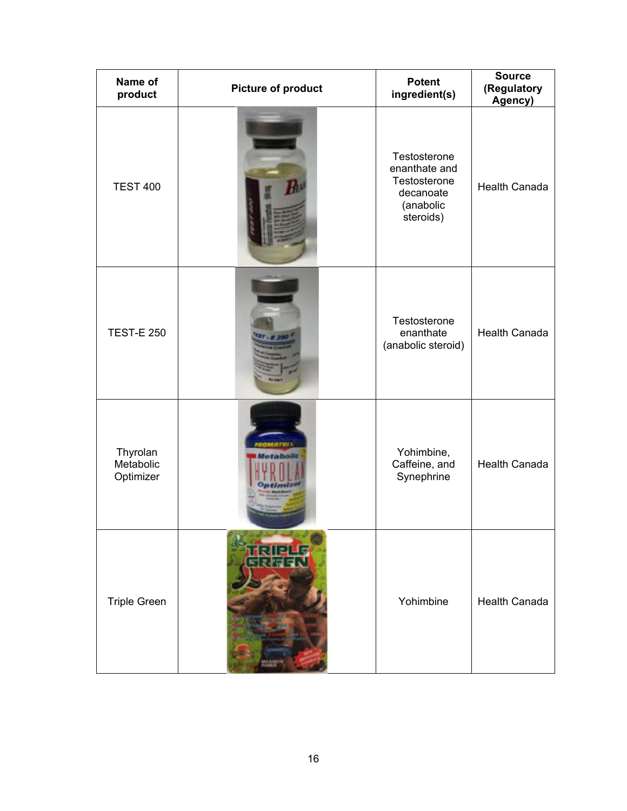| Name of<br>product                 | <b>Picture of product</b> | <b>Potent</b><br>ingredient(s)                                                       | <b>Source</b><br>(Regulatory<br>Agency) |
|------------------------------------|---------------------------|--------------------------------------------------------------------------------------|-----------------------------------------|
| <b>TEST 400</b>                    |                           | Testosterone<br>enanthate and<br>Testosterone<br>decanoate<br>(anabolic<br>steroids) | Health Canada                           |
| <b>TEST-E 250</b>                  |                           | Testosterone<br>enanthate<br>(anabolic steroid)                                      | <b>Health Canada</b>                    |
| Thyrolan<br>Metabolic<br>Optimizer | <b>MATRIX</b>             | Yohimbine,<br>Caffeine, and<br>Synephrine                                            | <b>Health Canada</b>                    |
| <b>Triple Green</b>                |                           | Yohimbine                                                                            | <b>Health Canada</b>                    |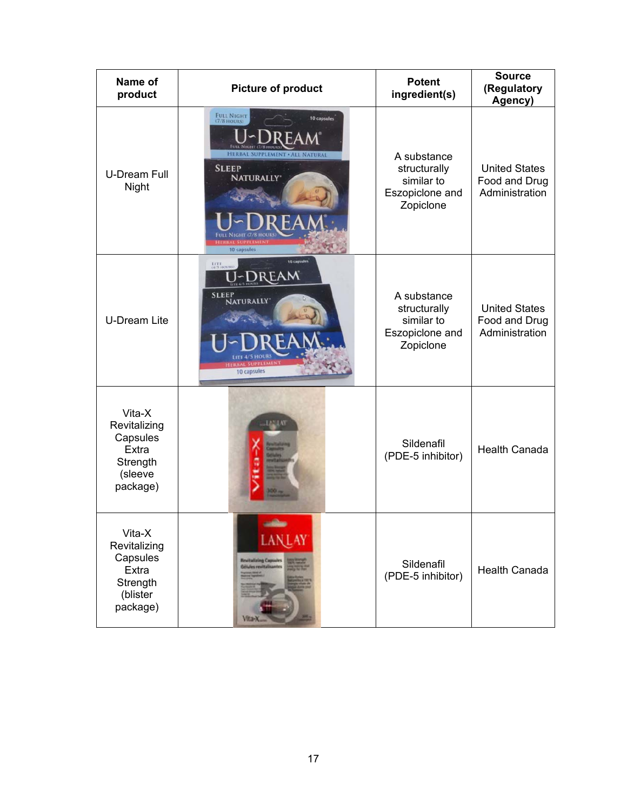| Name of<br>product                                                              | <b>Picture of product</b>                                                                                                                    | <b>Potent</b><br>ingredient(s)                                            | <b>Source</b><br>(Regulatory<br>Agency)                 |
|---------------------------------------------------------------------------------|----------------------------------------------------------------------------------------------------------------------------------------------|---------------------------------------------------------------------------|---------------------------------------------------------|
| <b>U-Dream Full</b><br>Night                                                    | <b>FULL NIGHT</b><br>10 capsules<br>(7/8 HOURS)<br><b>HERBAL SUPPLEMENT · ALL NATURAL</b><br><b>SLEEP</b><br><b>NATURALLY</b><br>10 capsules | A substance<br>structurally<br>similar to<br>Eszopiclone and<br>Zopiclone | <b>United States</b><br>Food and Drug<br>Administration |
| <b>U-Dream Lite</b>                                                             | <b>10 captules</b><br>LITE<br>(4/5 HO)<br>J~Dream<br><b>SLEEP</b><br><b>NATURALLY</b><br>10 capsules                                         | A substance<br>structurally<br>similar to<br>Eszopiclone and<br>Zopiclone | <b>United States</b><br>Food and Drug<br>Administration |
| Vita-X<br>Revitalizing<br>Capsules<br>Extra<br>Strength<br>(sleeve<br>package)  |                                                                                                                                              | Sildenafil<br>(PDE-5 inhibitor)                                           | <b>Health Canada</b>                                    |
| Vita-X<br>Revitalizing<br>Capsules<br>Extra<br>Strength<br>(blister<br>package) | LANLAY<br><b>Revitalizing Caps</b>                                                                                                           | Sildenafil<br>(PDE-5 inhibitor)                                           | <b>Health Canada</b>                                    |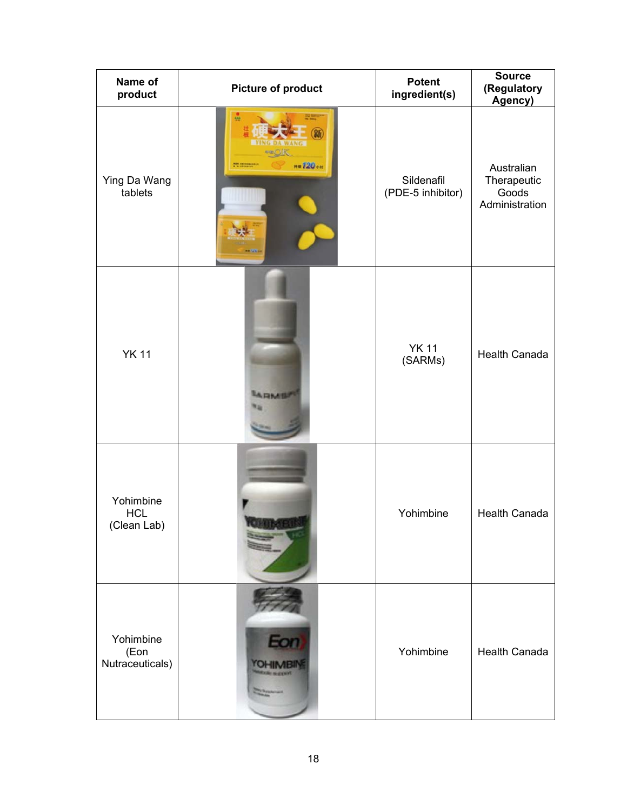| Name of<br>product                     | <b>Picture of product</b>        | <b>Potent</b><br>ingredient(s)  | <b>Source</b><br>(Regulatory<br>Agency)              |
|----------------------------------------|----------------------------------|---------------------------------|------------------------------------------------------|
| Ying Da Wang<br>tablets                | $n = 720$ or<br><b>PE INCHES</b> | Sildenafil<br>(PDE-5 inhibitor) | Australian<br>Therapeutic<br>Goods<br>Administration |
| <b>YK 11</b>                           | ARMI                             | <b>YK 11</b><br>(SARMs)         | <b>Health Canada</b>                                 |
| Yohimbine<br><b>HCL</b><br>(Clean Lab) |                                  | Yohimbine                       | <b>Health Canada</b>                                 |
| Yohimbine<br>(Eon<br>Nutraceuticals)   | Eon                              | Yohimbine                       | <b>Health Canada</b>                                 |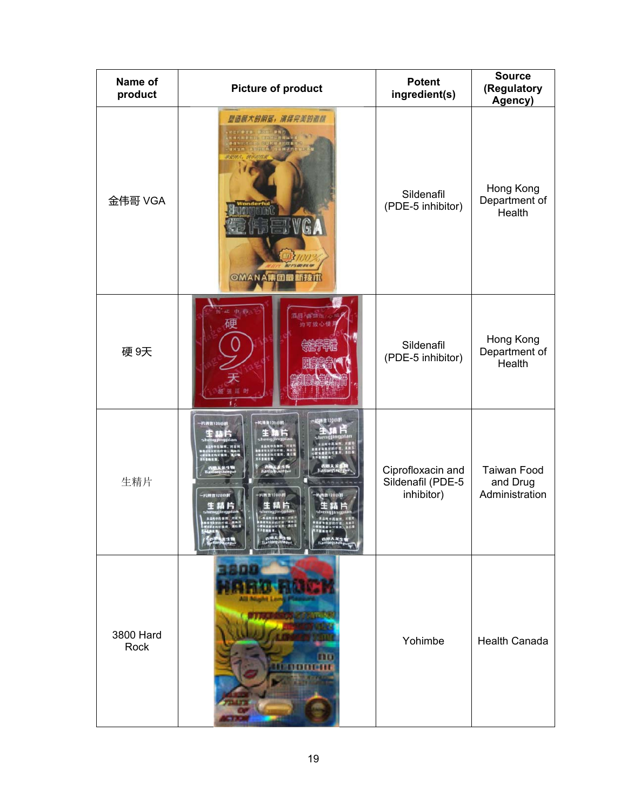| Name of<br>product | <b>Picture of product</b>                                            | <b>Potent</b><br>ingredient(s)                       | <b>Source</b><br>(Regulatory<br>Agency)          |
|--------------------|----------------------------------------------------------------------|------------------------------------------------------|--------------------------------------------------|
| 金伟哥 VGA            | 创造质大的阴茎,演绎完美的激情<br><b>BYGA</b><br><b>MFT AT EV SP</b><br>OMANA精团最新技术 | Sildenafil<br>(PDE-5 inhibitor)                      | Hong Kong<br>Department of<br>Health             |
| 硬9天                | E 中药<br><b>适居入宫加压/d</b><br>硬<br>均可放心使)                               | Sildenafil<br>(PDE-5 inhibitor)                      | Hong Kong<br>Department of<br>Health             |
| 生精片                | 片用置1200円<br>片再推1200円<br>-RN2120011<br>- 汽港会120山田<br>·片拼音120中昇        | Ciprofloxacin and<br>Sildenafil (PDE-5<br>inhibitor) | <b>Taiwan Food</b><br>and Drug<br>Administration |
| 3800 Hard<br>Rock  |                                                                      | Yohimbe                                              | <b>Health Canada</b>                             |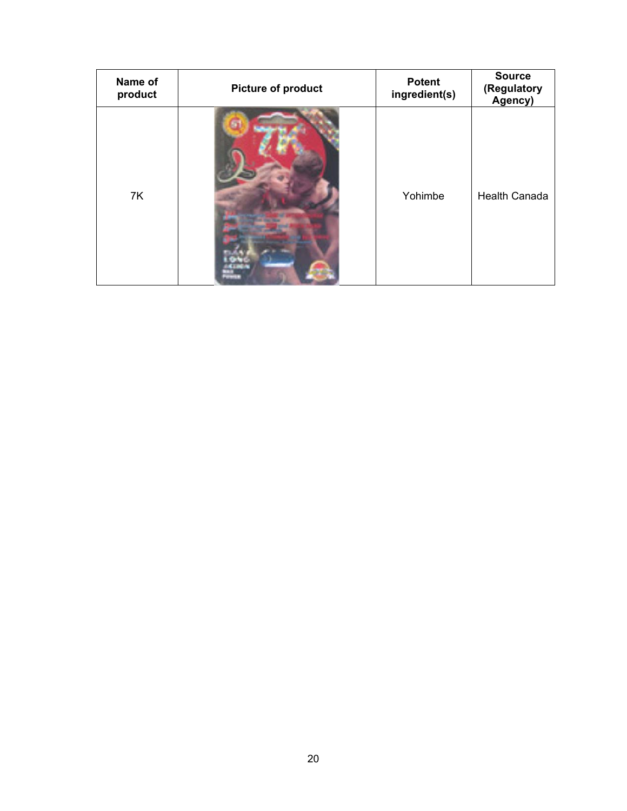| Name of<br>product | <b>Picture of product</b> | <b>Potent</b><br>ingredient(s) | <b>Source</b><br>(Regulatory<br>Agency) |
|--------------------|---------------------------|--------------------------------|-----------------------------------------|
| 7K                 |                           | Yohimbe                        | <b>Health Canada</b>                    |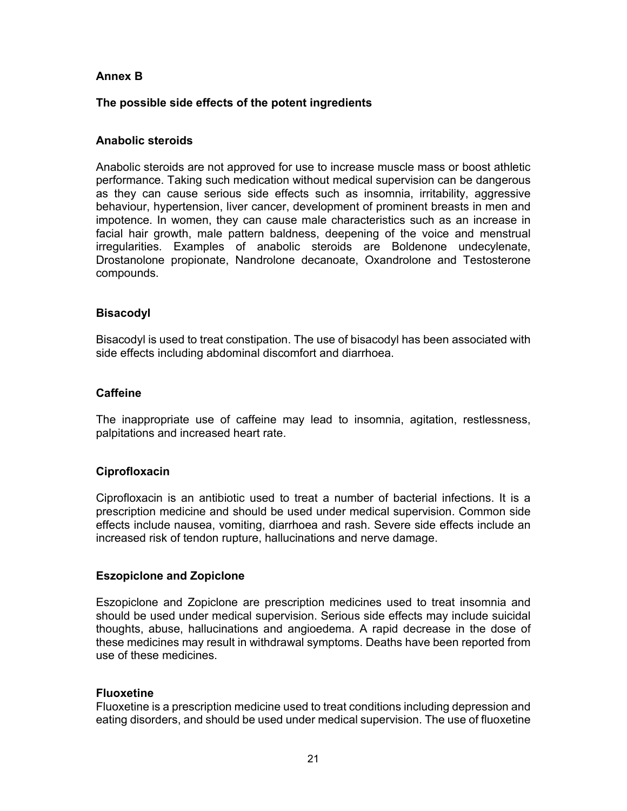# **Annex B**

# **The possible side effects of the potent ingredients**

### **Anabolic steroids**

Anabolic steroids are not approved for use to increase muscle mass or boost athletic performance. Taking such medication without medical supervision can be dangerous as they can cause serious side effects such as insomnia, irritability, aggressive behaviour, hypertension, liver cancer, development of prominent breasts in men and impotence. In women, they can cause male characteristics such as an increase in facial hair growth, male pattern baldness, deepening of the voice and menstrual irregularities. Examples of anabolic steroids are Boldenone undecylenate, Drostanolone propionate, Nandrolone decanoate, Oxandrolone and Testosterone compounds.

### **Bisacodyl**

Bisacodyl is used to treat constipation. The use of bisacodyl has been associated with side effects including abdominal discomfort and diarrhoea.

#### **Caffeine**

The inappropriate use of caffeine may lead to insomnia, agitation, restlessness, palpitations and increased heart rate.

#### **Ciprofloxacin**

Ciprofloxacin is an antibiotic used to treat a number of bacterial infections. It is a prescription medicine and should be used under medical supervision. Common side effects include nausea, vomiting, diarrhoea and rash. Severe side effects include an increased risk of tendon rupture, hallucinations and nerve damage.

#### **Eszopiclone and Zopiclone**

Eszopiclone and Zopiclone are prescription medicines used to treat insomnia and should be used under medical supervision. Serious side effects may include suicidal thoughts, abuse, hallucinations and angioedema. A rapid decrease in the dose of these medicines may result in withdrawal symptoms. Deaths have been reported from use of these medicines.

#### **Fluoxetine**

Fluoxetine is a prescription medicine used to treat conditions including depression and eating disorders, and should be used under medical supervision. The use of fluoxetine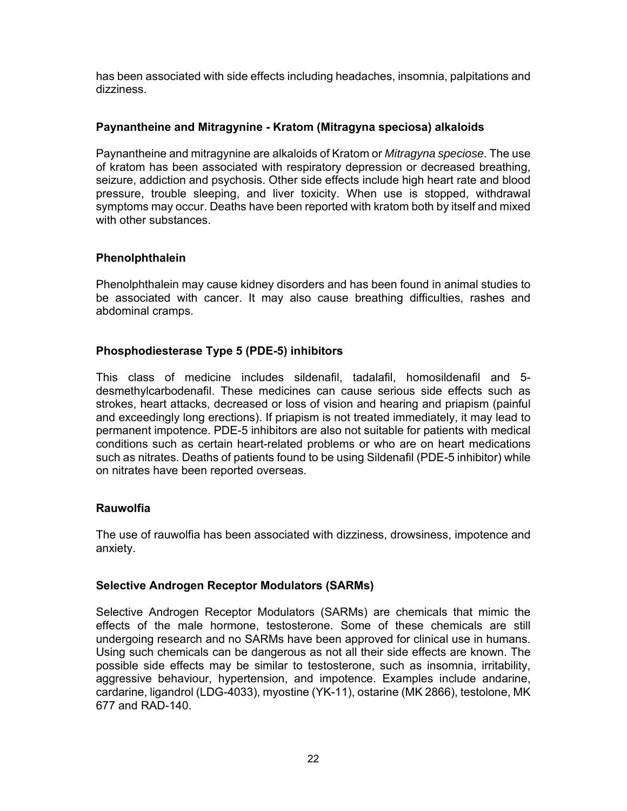has been associated with side effects including headaches, insomnia, palpitations and dizziness.

# **Paynantheine and Mitragynine - Kratom (Mitragyna speciosa) alkaloids**

Paynantheine and mitragynine are alkaloids of Kratom or *Mitragyna speciose*. The use of kratom has been associated with respiratory depression or decreased breathing, seizure, addiction and psychosis. Other side effects include high heart rate and blood pressure, trouble sleeping, and liver toxicity. When use is stopped, withdrawal symptoms may occur. Deaths have been reported with kratom both by itself and mixed with other substances.

# **Phenolphthalein**

Phenolphthalein may cause kidney disorders and has been found in animal studies to be associated with cancer. It may also cause breathing difficulties, rashes and abdominal cramps.

# **Phosphodiesterase Type 5 (PDE-5) inhibitors**

This class of medicine includes sildenafil, tadalafil, homosildenafil and 5 desmethylcarbodenafil. These medicines can cause serious side effects such as strokes, heart attacks, decreased or loss of vision and hearing and priapism (painful and exceedingly long erections). If priapism is not treated immediately, it may lead to permanent impotence. PDE-5 inhibitors are also not suitable for patients with medical conditions such as certain heart-related problems or who are on heart medications such as nitrates. Deaths of patients found to be using Sildenafil (PDE-5 inhibitor) while on nitrates have been reported overseas.

# **Rauwolfia**

The use of rauwolfia has been associated with dizziness, drowsiness, impotence and anxiety.

# **Selective Androgen Receptor Modulators (SARMs)**

Selective Androgen Receptor Modulators (SARMs) are chemicals that mimic the effects of the male hormone, testosterone. Some of these chemicals are still undergoing research and no SARMs have been approved for clinical use in humans. Using such chemicals can be dangerous as not all their side effects are known. The possible side effects may be similar to testosterone, such as insomnia, irritability, aggressive behaviour, hypertension, and impotence. Examples include andarine, cardarine, ligandrol (LDG-4033), myostine (YK-11), ostarine (MK 2866), testolone, MK 677 and RAD-140.